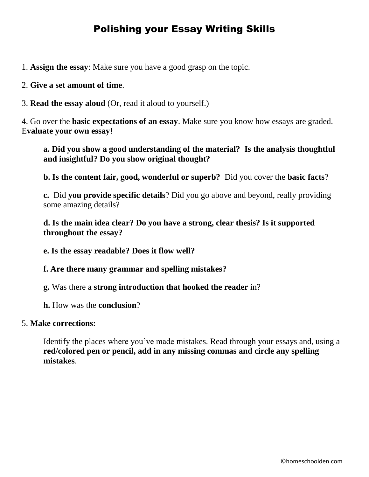#### Polishing your Essay Writing Skills

1. **Assign the essay**: Make sure you have a good grasp on the topic.

#### 2. **Give a set amount of time**.

3. **Read the essay aloud** (Or, read it aloud to yourself.)

4. Go over the **basic expectations of an essay**. Make sure you know how essays are graded. E**valuate your own essay**!

**a. Did you show a good understanding of the material? Is the analysis thoughtful and insightful? Do you show original thought?** 

**b. Is the content fair, good, wonderful or superb?** Did you cover the **basic facts**?

**c.** Did **you provide specific details**? Did you go above and beyond, really providing some amazing details?

**d. Is the main idea clear? Do you have a strong, clear thesis? Is it supported throughout the essay?**

**e. Is the essay readable? Does it flow well?**

**f. Are there many grammar and spelling mistakes?**

**g.** Was there a **strong introduction that hooked the reader** in?

**h.** How was the **conclusion**?

#### 5. **Make corrections:**

Identify the places where you've made mistakes. Read through your essays and, using a **red/colored pen or pencil, add in any missing commas and circle any spelling mistakes**.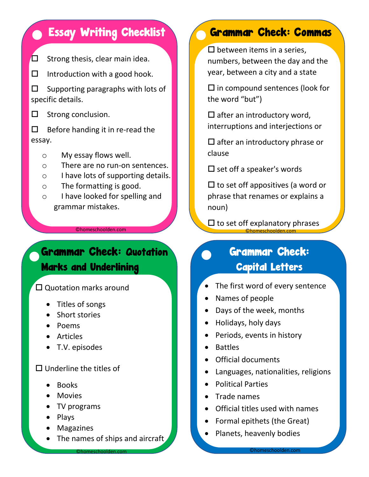$\square$  Strong thesis, clear main idea.

 $\Box$  Introduction with a good hook.

 $\square$  Supporting paragraphs with lots of specific details.

 $\Box$  Strong conclusion.

 $\Box$  Before handing it in re-read the essay.

- o My essay flows well.
- o There are no run-on sentences.
- o I have lots of supporting details.
- o The formatting is good.
- o I have looked for spelling and grammar mistakes.

©homeschoolden.com ©homeschoolden.com

#### Grammar Check: Quotation **Check:**<br>
Marke and Underlining Marks and Underlining

 $\square$  Quotation marks around

- Titles of songs
- Short stories
- Poems
- Articles
- T.V. episodes

#### $\square$  Underline the titles of

- Books
- Movies
- TV programs
- Plays
- Magazines
- The names of ships and aircraft

©homeschoolden.com

# **Essay Writing Checklist Grammar Check: Commas**

 $\square$  between items in a series, numbers, between the day and the year, between a city and a state

 $\square$  in compound sentences (look for the word "but")

 $\square$  after an introductory word, interruptions and interjections or

 $\square$  after an introductory phrase or clause

 $\square$  set off a speaker's words

 $\square$  to set off appositives (a word or phrase that renames or explains a noun)

 $\square$  to set off explanatory phrases <u>Chromeschoolder</u><br>Chromeschoolder

# Capital Letters

- The first word of every sentence
- Names of people
- Days of the week, months
- Holidays, holy days
- Periods, events in history
- Battles
- Official documents
- Languages, nationalities, religions
- Political Parties
- Trade names
- Official titles used with names
- Formal epithets (the Great)
- Planets, heavenly bodies

©homeschoolden.com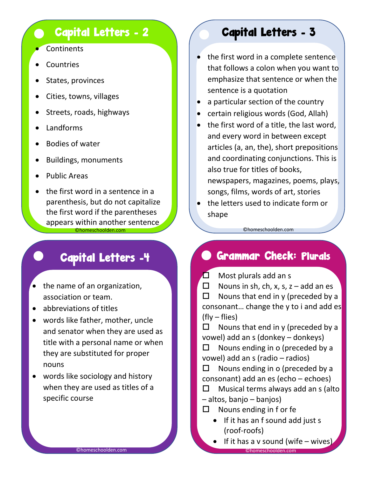#### **Capital Letters - 2**

- **Continents**
- **Countries**
- States, provinces
- Cities, towns, villages
- Streets, roads, highways
- Landforms
- Bodies of water
- Buildings, monuments
- Public Areas
- the first word in a sentence in a parenthesis, but do not capitalize the first word if the parentheses appears within another sentence

### Capital Letters -4

- the name of an organization, association or team.
- abbreviations of titles
- words like father, mother, uncle and senator when they are used as title with a personal name or when they are substituted for proper nouns
- words like sociology and history when they are used as titles of a specific course

#### Capital Letters - 3

- the first word in a complete sentence that follows a colon when you want to emphasize that sentence or when the sentence is a quotation
- a particular section of the country
- certain religious words (God, Allah)
- the first word of a title, the last word, and every word in between except articles (a, an, the), short prepositions and coordinating conjunctions. This is also true for titles of books, newspapers, magazines, poems, plays, songs, films, words of art, stories
- the letters used to indicate form or shape

©homeschoolden.com ©homeschoolden.com

#### Grammar Check: Plurals

 $\Box$  Most plurals add an s

 $\Box$  Nouns in sh, ch, x, s, z – add an es  $\Box$  Nouns that end in y (preceded by a consonant… change the y to i and add es (fly – flies)

 $\Box$  Nouns that end in y (preceded by a vowel) add an s (donkey – donkeys)

 $\Box$  Nouns ending in o (preceded by a vowel) add an s (radio – radios)

 $\Box$  Nouns ending in o (preceded by a consonant) add an es (echo – echoes)

- $\Box$  Musical terms always add an s (alto – altos, banjo – banjos)
- $\Box$  Nouns ending in f or fe
	- If it has an f sound add just s (roof-roofs)
- $\bullet$  If it has a v sound (wife wives) ©homeschoolden.com ©homeschoolden.com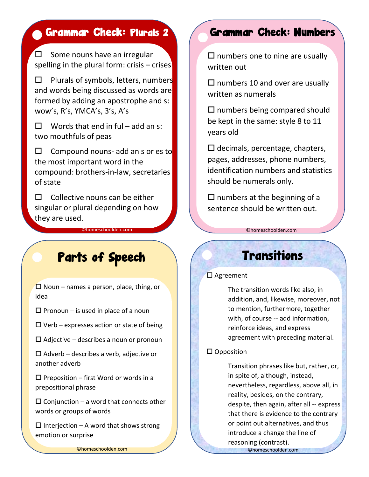$\square$  Some nouns have an irregular spelling in the plural form: crisis – crises

 $\Box$  Plurals of symbols, letters, numbers and words being discussed as words are formed by adding an apostrophe and s: wow's, R's, YMCA's, 3's, A's

 $\Box$  Words that end in ful – add an s: two mouthfuls of peas

 $\Box$  Compound nouns- add an s or es to the most important word in the compound: brothers-in-law, secretaries of state

 $\Box$  Collective nouns can be either singular or plural depending on how they are used.

# **Parts of Speech Communities**

 $\square$  Noun – names a person, place, thing, or idea

 $\square$  Pronoun – is used in place of a noun

 $\Box$  Verb – expresses action or state of being

 $\square$  Adjective – describes a noun or pronoun

 $\square$  Adverb – describes a verb, adjective or another adverb

 $\square$  Preposition – first Word or words in a prepositional phrase

 $\square$  Conjunction – a word that connects other words or groups of words

 $\Box$  Interjection – A word that shows strong emotion or surprise

©homeschoolden.com ©homeschoolden.com

# Grammar Check: Plurals 2 Grammar Check: Numbers

 $\square$  numbers one to nine are usually written out

 $\square$  numbers 10 and over are usually written as numerals

 $\square$  numbers being compared should be kept in the same: style 8 to 11 years old

 $\square$  decimals, percentage, chapters, pages, addresses, phone numbers, identification numbers and statistics should be numerals only.

 $\square$  numbers at the beginning of a sentence should be written out.

to set off explanatory phrases

©homeschoolden.com ©homeschoolden.com

### **Transitions**

#### □ Agreement

The transition words like also, in addition, and, likewise, moreover, not to mention, furthermore, together with, of course -- add information, reinforce ideas, and express agreement with preceding material.

#### $\square$  Opposition

Transition phrases like but, rather, or, in spite of, although, instead, nevertheless, regardless, above all, in reality, besides, on the contrary, despite, then again, after all -- express that there is evidence to the contrary or point out alternatives, and thus introduce a change the line of reasoning (contrast).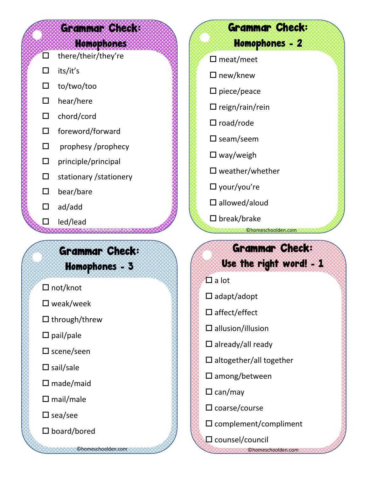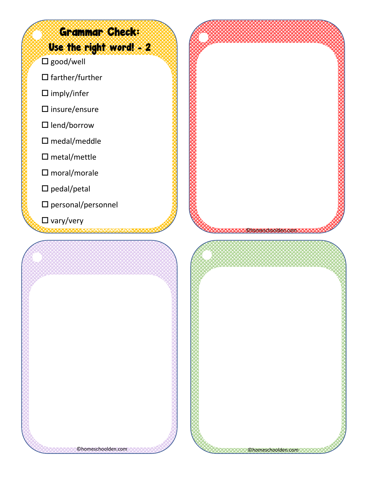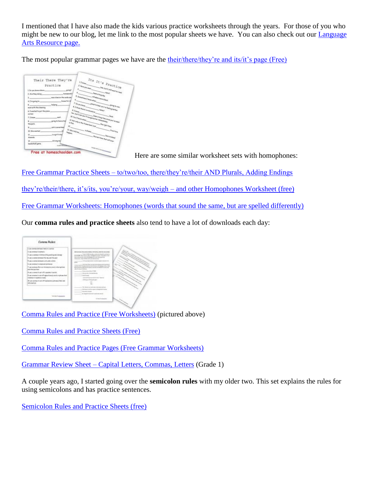I mentioned that I have also made the kids various practice worksheets through the years. For those of you who might be new to our blog, let me link to the most popular sheets we have. You can also check out our [Language](http://homeschoolden.com/language-arts-resources/)  [Arts Resource page.](http://homeschoolden.com/language-arts-resources/)

The most popular grammar pages we have are the [their/there/they're and its/it's page \(Free\)](http://homeschoolden.com/2014/01/15/their-theyre-there-its-its-free-practice-sheets/)

|                               | Their There They're        |                               |                                                                                                                                                                                                                                                                                                                                                                                                                                                                                                                       |                                                                                                                                                                                                                                                                             | $r_{t_\theta}$ $_{I_t}{_{{}_\theta}}$ $_{P_{R_{C_t}}}{_{{}_\theta}{_C}}$                                                                                                                                                                                                                                                                                                    |
|-------------------------------|----------------------------|-------------------------------|-----------------------------------------------------------------------------------------------------------------------------------------------------------------------------------------------------------------------------------------------------------------------------------------------------------------------------------------------------------------------------------------------------------------------------------------------------------------------------------------------------------------------|-----------------------------------------------------------------------------------------------------------------------------------------------------------------------------------------------------------------------------------------------------------------------------|-----------------------------------------------------------------------------------------------------------------------------------------------------------------------------------------------------------------------------------------------------------------------------------------------------------------------------------------------------------------------------|
|                               | Practice                   |                               |                                                                                                                                                                                                                                                                                                                                                                                                                                                                                                                       | 2 Hampton March 1994                                                                                                                                                                                                                                                        | I. I know the fact of the second control of the control of the control of the control of the control of                                                                                                                                                                                                                                                                     |
| 1.0s you know where.          |                            | going?                        |                                                                                                                                                                                                                                                                                                                                                                                                                                                                                                                       |                                                                                                                                                                                                                                                                             |                                                                                                                                                                                                                                                                                                                                                                             |
| 2. Are they drive.            |                            | hampson's?                    |                                                                                                                                                                                                                                                                                                                                                                                                                                                                                                                       | here a length of the contract of the contract of the contract of the contract of the contract of the contract of the contract of the contract of the contract of the contract of the contract of the contract of the contract<br>with the state of the charge of the charge |                                                                                                                                                                                                                                                                                                                                                                             |
|                               | ses a has an the seds can. |                               | 5 Summings I know advertiser                                                                                                                                                                                                                                                                                                                                                                                                                                                                                          |                                                                                                                                                                                                                                                                             |                                                                                                                                                                                                                                                                                                                                                                             |
| 4. The gallep for             |                            | <b><i>house for di</i></b>    |                                                                                                                                                                                                                                                                                                                                                                                                                                                                                                                       |                                                                                                                                                                                                                                                                             |                                                                                                                                                                                                                                                                                                                                                                             |
|                               | helping.                   |                               |                                                                                                                                                                                                                                                                                                                                                                                                                                                                                                                       | price to have you've feeling better.                                                                                                                                                                                                                                        | $\begin{picture}(20,10) \put(0,0){\vector(1,0){10}} \put(15,0){\vector(1,0){10}} \put(15,0){\vector(1,0){10}} \put(15,0){\vector(1,0){10}} \put(15,0){\vector(1,0){10}} \put(15,0){\vector(1,0){10}} \put(15,0){\vector(1,0){10}} \put(15,0){\vector(1,0){10}} \put(15,0){\vector(1,0){10}} \put(15,0){\vector(1,0){10}} \put(15,0){\vector(1,0){10}} \put(15,0){\vector(1$ |
| were with the cleaning        |                            |                               |                                                                                                                                                                                                                                                                                                                                                                                                                                                                                                                       |                                                                                                                                                                                                                                                                             |                                                                                                                                                                                                                                                                                                                                                                             |
| 6. I wonted to put the plane. |                            |                               | <b>7. De yau kome manazi mwaka 1970</b><br>E I Not Now You know the Mid-<br>$\theta, T_{\rm{Higgs}}$                                                                                                                                                                                                                                                                                                                                                                                                                  |                                                                                                                                                                                                                                                                             |                                                                                                                                                                                                                                                                                                                                                                             |
| outwar.                       |                            |                               |                                                                                                                                                                                                                                                                                                                                                                                                                                                                                                                       |                                                                                                                                                                                                                                                                             |                                                                                                                                                                                                                                                                                                                                                                             |
| 7.1 lean                      | and.                       |                               |                                                                                                                                                                                                                                                                                                                                                                                                                                                                                                                       |                                                                                                                                                                                                                                                                             |                                                                                                                                                                                                                                                                                                                                                                             |
|                               | quino to hove a he         |                               | har, but I har you'll receipt in the intendately.<br>ID You'd larow will are a share with the control of the control of the control of the control of the control of the control of the control of the control of the control of the control of the control of the control of the c<br>If has provided the formal lines, but a second from the state of the state of the state of the state of the state of the state of the state of the state of the state of the state of the state of the state of the state of t | - been slong time roots you've com-                                                                                                                                                                                                                                         |                                                                                                                                                                                                                                                                                                                                                                             |
| Hepen.                        |                            | 4.6 <sub>10<sub>1</sub></sub> |                                                                                                                                                                                                                                                                                                                                                                                                                                                                                                                       |                                                                                                                                                                                                                                                                             |                                                                                                                                                                                                                                                                                                                                                                             |
| u.                            | not is severite            |                               | $\begin{picture}(20,10) \put(0,0){\vector(1,0){100}} \put(15,0){\vector(1,0){100}} \put(15,0){\vector(1,0){100}} \put(15,0){\vector(1,0){100}} \put(15,0){\vector(1,0){100}} \put(15,0){\vector(1,0){100}} \put(15,0){\vector(1,0){100}} \put(15,0){\vector(1,0){100}} \put(15,0){\vector(1,0){100}} \put(15,0){\vector(1,0){100}} \put(15,0){\vector(1,0){100}} \$                                                                                                                                                   |                                                                                                                                                                                                                                                                             |                                                                                                                                                                                                                                                                                                                                                                             |
| 33. New weekend               |                            |                               |                                                                                                                                                                                                                                                                                                                                                                                                                                                                                                                       |                                                                                                                                                                                                                                                                             |                                                                                                                                                                                                                                                                                                                                                                             |
| 11<br>Assessite               | to a girl in my            |                               |                                                                                                                                                                                                                                                                                                                                                                                                                                                                                                                       |                                                                                                                                                                                                                                                                             | <b>Louisvand</b>                                                                                                                                                                                                                                                                                                                                                            |
| 昆.                            | <b>D-1-José ma</b>         |                               | $\Omega_{\rm c} \approx \omega_{\rm d} \rho_{\rm eq}$ . The last time that and paper                                                                                                                                                                                                                                                                                                                                                                                                                                  |                                                                                                                                                                                                                                                                             |                                                                                                                                                                                                                                                                                                                                                                             |
| basketboll game.              |                            |                               |                                                                                                                                                                                                                                                                                                                                                                                                                                                                                                                       |                                                                                                                                                                                                                                                                             |                                                                                                                                                                                                                                                                                                                                                                             |
|                               |                            | <b>CONTRACTOR</b>             |                                                                                                                                                                                                                                                                                                                                                                                                                                                                                                                       | The second is a party of the second con-                                                                                                                                                                                                                                    |                                                                                                                                                                                                                                                                                                                                                                             |

Here are some similar worksheet sets with homophones:

Free Grammar Practice Sheets – [to/two/too, there/they're/their AND Plurals, Adding Endings](http://homeschoolden.com/2016/04/07/free-grammar-practice-sheets-totwotoo-theretheyretheir-and-plurals-adding-endings/)

[they're/their/there, it's/its, you're/your, way/weigh –](http://homeschoolden.com/2016/01/19/theyretheirthere-itsits-youreyour-wayweigh-and-other-homophones-worksheet/) and other Homophones Worksheet (free)

[Free Grammar Worksheets: Homophones \(words that sound the same, but are spelled differently\)](http://homeschoolden.com/2013/02/22/free-grammar-worksheets-homophones-words-that-sound-the-same-but-are-spelled-differently/)

Our **comma rules and practice sheets** also tend to have a lot of downloads each day:



[Comma Rules and Practice \(Free Worksheets\)](http://homeschoolden.com/2013/05/01/comma-rules-and-practice-free-worksheets/) (pictured above)

[Comma Rules and Practice Sheets \(Free\)](http://homeschoolden.com/2013/12/05/comma-rules-and-practice-sheets-free/)

[Comma Rules and Practice Pages \(Free Grammar Worksheets\)](http://homeschoolden.com/2016/03/18/comma-rules-and-practice-pages-free-grammar-worksheets/)

Grammar Review Sheet – [Capital Letters, Commas, Letters](http://homeschoolden.com/2015/01/08/grammar-review-sheet-capital-letters-commas-letters/) (Grade 1)

A couple years ago, I started going over the **semicolon rules** with my older two. This set explains the rules for using semicolons and has practice sentences.

[Semicolon Rules and Practice Sheets \(free\)](http://homeschoolden.com/2015/04/29/semicolon-rules-and-practice-sheets-free/)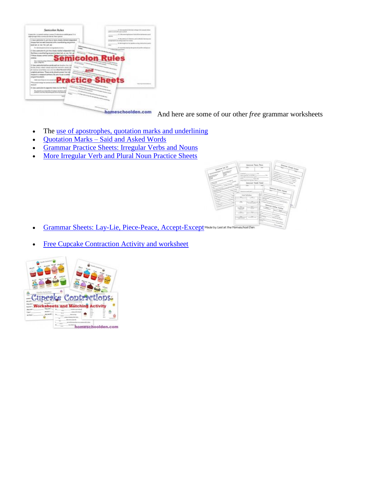

homeschoolden.com And here are some of our other *free* grammar worksheets

- The use of [apostrophes, quotation marks and underlining](http://homeschoolden.com/2012/10/02/grammar-practice-sheets-apostrophes-quotation-marks-and-underlining-and-others/)
- Quotation Marks [Said and Asked Words](http://homeschoolden.com/2014/02/12/grammar-practice-sheet-quotation-marks-saidasked-words/)
- [Grammar Practice Sheets: Irregular Verbs and Nouns](http://homeschoolden.com/2012/12/05/irregular-verbs-and-nouns-practice-sheets/)
- [More Irregular Verb and Plural Noun Practice Sheets](http://homeschoolden.com/2012/12/18/more-irregular-verb-and-plural-noun-practice-sheets/)



- [Grammar Sheets: Lay-Lie, Piece-Peace, Accept-Except](http://homeschoolden.com/2014/05/07/free-grammar-sheets-lay-lie-peace-piece-accept-except-and-more/)<sup>Made by Usslat the Hameschool Den</sub></sup>
- [Free Cupcake Contraction Activity and worksheet](http://homeschoolden.com/2015/04/23/contraction-worksheets-and-activity-cupcake-theme/)

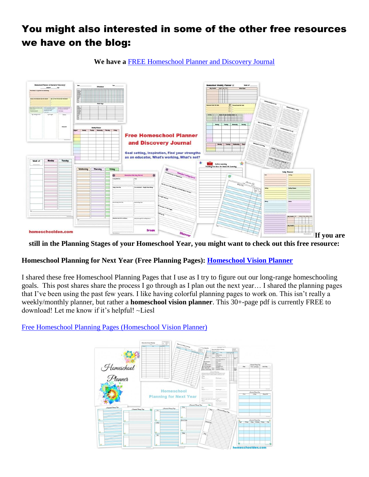#### You might also interested in some of the other free resources we have on the blog:

**We have a** [FREE Homeschool Planner and Discovery Journal](http://homeschoolden.com/2017/07/03/free-homeschool-planner-and-discovery-journal/)



**still in the Planning Stages of your Homeschool Year, you might want to check out this free resource:**

#### **Homeschool Planning for Next Year (Free Planning Pages): [Homeschool Vision Planner](http://homeschoolden.com/2017/05/16/homeschool-planning-for-next-year-free-planning-pages/)**

I shared these free Homeschool Planning Pages that I use as I try to figure out our long-range homeschooling goals. This post shares share the process I go through as I plan out the next year… I shared the planning pages that I've been using the past few years. I like having colorful planning pages to work on. This isn't really a weekly/monthly planner, but rather a **homeschool vision planner**. This 30+-page pdf is currently FREE to download! Let me know if it's helpful! ~Liesl

[Free Homeschool Planning Pages \(Homeschool Vision Planner\)](http://homeschoolden.com/2017/05/16/homeschool-planning-for-next-year-free-planning-pages/)

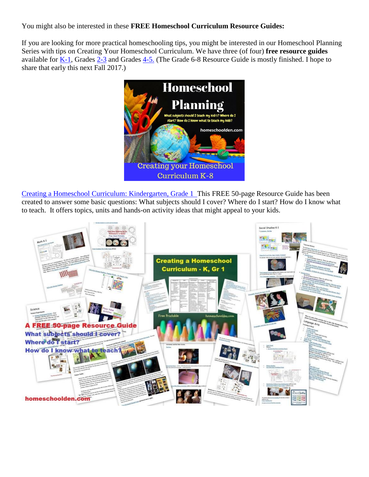You might also be interested in these **FREE Homeschool Curriculum Resource Guides:**

If you are looking for more practical homeschooling tips, you might be interested in our Homeschool Planning Series with tips on Creating Your Homeschool Curriculum. We have three (of four) **free resource guides** available for  $K-1$ , Grades  $2-3$  and Grades  $4-5$ . (The Grade 6-8 Resource Guide is mostly finished. I hope to share that early this next Fall 2017.)



[Creating a Homeschool Curriculum: Kindergarten, Grade 1](http://homeschoolden.com/2016/11/06/creating-a-homeschool-curriculum-kindergarten-grade-1/) This FREE 50-page Resource Guide has been created to answer some basic questions: What subjects should I cover? Where do I start? How do I know what to teach. It offers topics, units and hands-on activity ideas that might appeal to your kids.